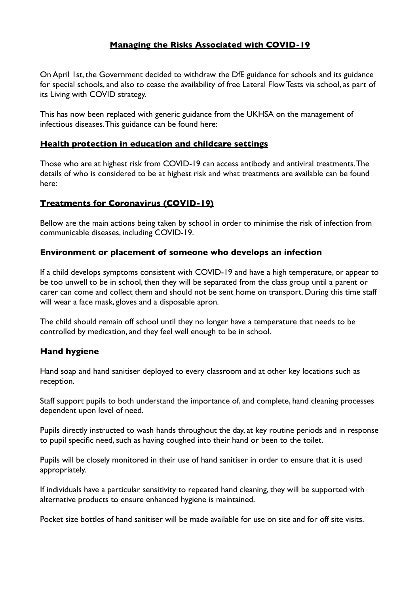# **Managing the Risks Associated with COVID-19**

On April 1st, the Government decided to withdraw the DfE guidance for schools and its guidance for special schools, and also to cease the availability of free Lateral Flow Tests via school, as part of its Living with COVID strategy.

This has now been replaced with generic guidance from the UKHSA on the management of infectious diseases. This guidance can be found here:

### **[Health protection in education and childcare settings](https://www.gov.uk/government/publications/health-protection-in-schools-and-other-childcare-facilities?utm_source=01%20April%202022%20C19&utm_medium=Daily%20Email%20C19&utm_campaign=DfE%20C19)**

Those who are at highest risk from COVID-19 can access antibody and antiviral treatments. The details of who is considered to be at highest risk and what treatments are available can be found here:

# **[Treatments for Coronavirus \(COVID-19\)](https://www.nhs.uk/conditions/coronavirus-covid-19/self-care-and-treatments-for-coronavirus/treatments-for-coronavirus/)**

Bellow are the main actions being taken by school in order to minimise the risk of infection from communicable diseases, including COVID-19.

### **Environment or placement of someone who develops an infection**

If a child develops symptoms consistent with COVID-19 and have a high temperature, or appear to be too unwell to be in school, then they will be separated from the class group until a parent or carer can come and collect them and should not be sent home on transport. During this time staff will wear a face mask, gloves and a disposable apron.

The child should remain off school until they no longer have a temperature that needs to be controlled by medication, and they feel well enough to be in school.

## **Hand hygiene**

Hand soap and hand sanitiser deployed to every classroom and at other key locations such as reception.

Staff support pupils to both understand the importance of, and complete, hand cleaning processes dependent upon level of need.

Pupils directly instructed to wash hands throughout the day, at key routine periods and in response to pupil specific need, such as having coughed into their hand or been to the toilet.

Pupils will be closely monitored in their use of hand sanitiser in order to ensure that it is used appropriately.

If individuals have a particular sensitivity to repeated hand cleaning, they will be supported with alternative products to ensure enhanced hygiene is maintained.

Pocket size bottles of hand sanitiser will be made available for use on site and for off site visits.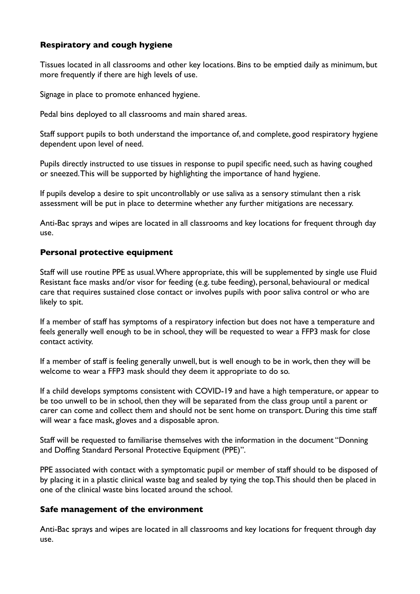# **Respiratory and cough hygiene**

Tissues located in all classrooms and other key locations. Bins to be emptied daily as minimum, but more frequently if there are high levels of use.

Signage in place to promote enhanced hygiene.

Pedal bins deployed to all classrooms and main shared areas.

Staff support pupils to both understand the importance of, and complete, good respiratory hygiene dependent upon level of need.

Pupils directly instructed to use tissues in response to pupil specific need, such as having coughed or sneezed. This will be supported by highlighting the importance of hand hygiene.

If pupils develop a desire to spit uncontrollably or use saliva as a sensory stimulant then a risk assessment will be put in place to determine whether any further mitigations are necessary.

Anti-Bac sprays and wipes are located in all classrooms and key locations for frequent through day use.

### **Personal protective equipment**

Staff will use routine PPE as usual. Where appropriate, this will be supplemented by single use Fluid Resistant face masks and/or visor for feeding (e.g. tube feeding), personal, behavioural or medical care that requires sustained close contact or involves pupils with poor saliva control or who are likely to spit.

If a member of staff has symptoms of a respiratory infection but does not have a temperature and feels generally well enough to be in school, they will be requested to wear a FFP3 mask for close contact activity.

If a member of staff is feeling generally unwell, but is well enough to be in work, then they will be welcome to wear a FFP3 mask should they deem it appropriate to do so.

If a child develops symptoms consistent with COVID-19 and have a high temperature, or appear to be too unwell to be in school, then they will be separated from the class group until a parent or carer can come and collect them and should not be sent home on transport. During this time staff will wear a face mask, gloves and a disposable apron.

Staff will be requested to familiarise themselves with the information in the document "Donning and Doffing Standard Personal Protective Equipment (PPE)".

PPE associated with contact with a symptomatic pupil or member of staff should to be disposed of by placing it in a plastic clinical waste bag and sealed by tying the top. This should then be placed in one of the clinical waste bins located around the school.

## **Safe management of the environment**

Anti-Bac sprays and wipes are located in all classrooms and key locations for frequent through day use.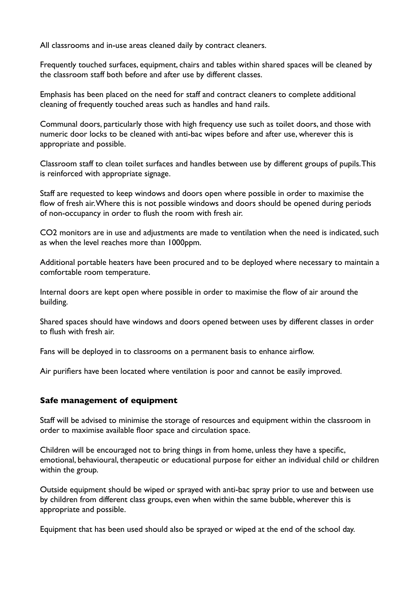All classrooms and in-use areas cleaned daily by contract cleaners.

Frequently touched surfaces, equipment, chairs and tables within shared spaces will be cleaned by the classroom staff both before and after use by different classes.

Emphasis has been placed on the need for staff and contract cleaners to complete additional cleaning of frequently touched areas such as handles and hand rails.

Communal doors, particularly those with high frequency use such as toilet doors, and those with numeric door locks to be cleaned with anti-bac wipes before and after use, wherever this is appropriate and possible.

Classroom staff to clean toilet surfaces and handles between use by different groups of pupils. This is reinforced with appropriate signage.

Staff are requested to keep windows and doors open where possible in order to maximise the flow of fresh air. Where this is not possible windows and doors should be opened during periods of non-occupancy in order to flush the room with fresh air.

CO2 monitors are in use and adjustments are made to ventilation when the need is indicated, such as when the level reaches more than 1000ppm.

Additional portable heaters have been procured and to be deployed where necessary to maintain a comfortable room temperature.

Internal doors are kept open where possible in order to maximise the flow of air around the building.

Shared spaces should have windows and doors opened between uses by different classes in order to flush with fresh air.

Fans will be deployed in to classrooms on a permanent basis to enhance airflow.

Air purifiers have been located where ventilation is poor and cannot be easily improved.

#### **Safe management of equipment**

Staff will be advised to minimise the storage of resources and equipment within the classroom in order to maximise available floor space and circulation space.

Children will be encouraged not to bring things in from home, unless they have a specific, emotional, behavioural, therapeutic or educational purpose for either an individual child or children within the group.

Outside equipment should be wiped or sprayed with anti-bac spray prior to use and between use by children from different class groups, even when within the same bubble, wherever this is appropriate and possible.

Equipment that has been used should also be sprayed or wiped at the end of the school day.